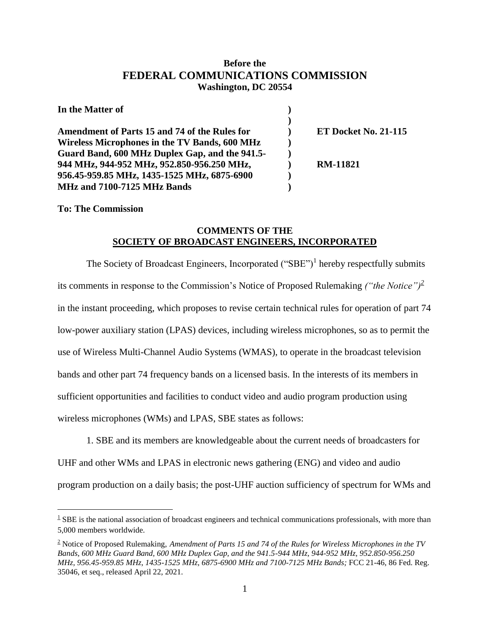## **Before the FEDERAL COMMUNICATIONS COMMISSION Washington, DC 20554**

| In the Matter of                                     |                             |
|------------------------------------------------------|-----------------------------|
|                                                      |                             |
| Amendment of Parts 15 and 74 of the Rules for        | <b>ET Docket No. 21-115</b> |
| <b>Wireless Microphones in the TV Bands, 600 MHz</b> |                             |
| Guard Band, 600 MHz Duplex Gap, and the 941.5-       |                             |
| 944 MHz, 944-952 MHz, 952.850-956.250 MHz,           | <b>RM-11821</b>             |
| 956.45-959.85 MHz, 1435-1525 MHz, 6875-6900          |                             |
| MHz and 7100-7125 MHz Bands                          |                             |

**To: The Commission**

 $\overline{a}$ 

## **COMMENTS OF THE SOCIETY OF BROADCAST ENGINEERS, INCORPORATED**

The Society of Broadcast Engineers, Incorporated  $("SBE")<sup>1</sup>$  hereby respectfully submits its comments in response to the Commission's Notice of Proposed Rulemaking *("the Notice")<sup>2</sup>* in the instant proceeding, which proposes to revise certain technical rules for operation of part 74 low-power auxiliary station (LPAS) devices, including wireless microphones, so as to permit the use of Wireless Multi-Channel Audio Systems (WMAS), to operate in the broadcast television bands and other part 74 frequency bands on a licensed basis. In the interests of its members in sufficient opportunities and facilities to conduct video and audio program production using wireless microphones (WMs) and LPAS, SBE states as follows:

1. SBE and its members are knowledgeable about the current needs of broadcasters for UHF and other WMs and LPAS in electronic news gathering (ENG) and video and audio program production on a daily basis; the post-UHF auction sufficiency of spectrum for WMs and

 $1$  SBE is the national association of broadcast engineers and technical communications professionals, with more than 5,000 members worldwide.

<sup>2</sup> Notice of Proposed Rulemaking, *Amendment of Parts 15 and 74 of the Rules for Wireless Microphones in the TV Bands, 600 MHz Guard Band, 600 MHz Duplex Gap, and the 941.5-944 MHz, 944-952 MHz, 952.850-956.250 MHz, 956.45-959.85 MHz, 1435-1525 MHz, 6875-6900 MHz and 7100-7125 MHz Bands;* FCC 21-46, 86 Fed. Reg. 35046, et seq., released April 22, 2021.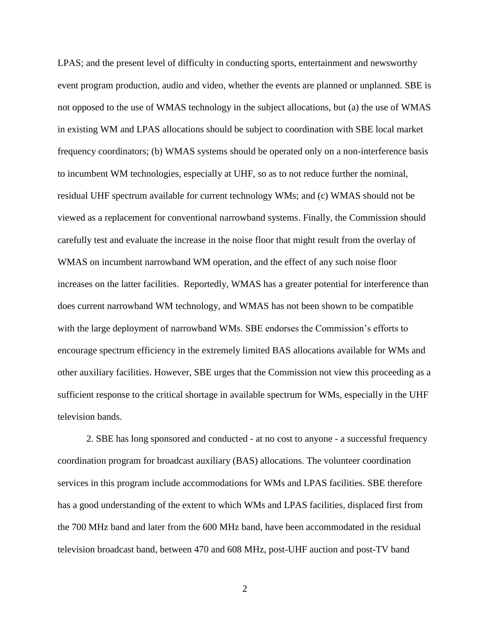LPAS; and the present level of difficulty in conducting sports, entertainment and newsworthy event program production, audio and video, whether the events are planned or unplanned. SBE is not opposed to the use of WMAS technology in the subject allocations, but (a) the use of WMAS in existing WM and LPAS allocations should be subject to coordination with SBE local market frequency coordinators; (b) WMAS systems should be operated only on a non-interference basis to incumbent WM technologies, especially at UHF, so as to not reduce further the nominal, residual UHF spectrum available for current technology WMs; and (c) WMAS should not be viewed as a replacement for conventional narrowband systems. Finally, the Commission should carefully test and evaluate the increase in the noise floor that might result from the overlay of WMAS on incumbent narrowband WM operation, and the effect of any such noise floor increases on the latter facilities. Reportedly, WMAS has a greater potential for interference than does current narrowband WM technology, and WMAS has not been shown to be compatible with the large deployment of narrowband WMs. SBE endorses the Commission's efforts to encourage spectrum efficiency in the extremely limited BAS allocations available for WMs and other auxiliary facilities. However, SBE urges that the Commission not view this proceeding as a sufficient response to the critical shortage in available spectrum for WMs, especially in the UHF television bands.

2. SBE has long sponsored and conducted - at no cost to anyone - a successful frequency coordination program for broadcast auxiliary (BAS) allocations. The volunteer coordination services in this program include accommodations for WMs and LPAS facilities. SBE therefore has a good understanding of the extent to which WMs and LPAS facilities, displaced first from the 700 MHz band and later from the 600 MHz band, have been accommodated in the residual television broadcast band, between 470 and 608 MHz, post-UHF auction and post-TV band

2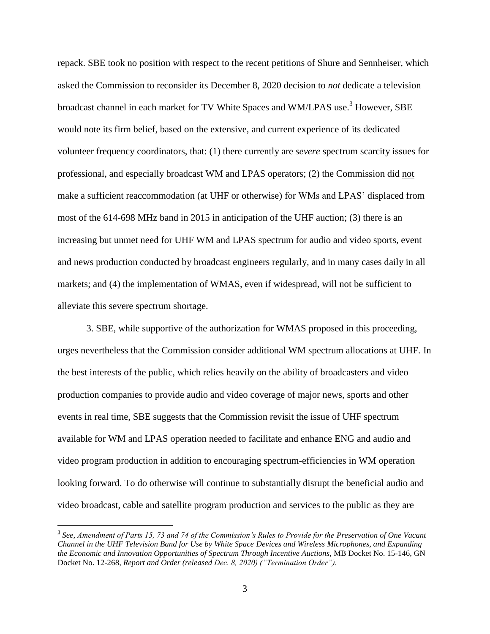repack. SBE took no position with respect to the recent petitions of Shure and Sennheiser, which asked the Commission to reconsider its December 8, 2020 decision to *not* dedicate a television broadcast channel in each market for TV White Spaces and WM/LPAS use.<sup>3</sup> However, SBE would note its firm belief, based on the extensive, and current experience of its dedicated volunteer frequency coordinators, that: (1) there currently are *severe* spectrum scarcity issues for professional, and especially broadcast WM and LPAS operators; (2) the Commission did not make a sufficient reaccommodation (at UHF or otherwise) for WMs and LPAS' displaced from most of the 614-698 MHz band in 2015 in anticipation of the UHF auction; (3) there is an increasing but unmet need for UHF WM and LPAS spectrum for audio and video sports, event and news production conducted by broadcast engineers regularly, and in many cases daily in all markets; and (4) the implementation of WMAS, even if widespread, will not be sufficient to alleviate this severe spectrum shortage.

3. SBE, while supportive of the authorization for WMAS proposed in this proceeding, urges nevertheless that the Commission consider additional WM spectrum allocations at UHF. In the best interests of the public, which relies heavily on the ability of broadcasters and video production companies to provide audio and video coverage of major news, sports and other events in real time, SBE suggests that the Commission revisit the issue of UHF spectrum available for WM and LPAS operation needed to facilitate and enhance ENG and audio and video program production in addition to encouraging spectrum-efficiencies in WM operation looking forward. To do otherwise will continue to substantially disrupt the beneficial audio and video broadcast, cable and satellite program production and services to the public as they are

<sup>3</sup> *See, Amendment of Parts 15, 73 and 74 of the Commission's Rules to Provide for the Preservation of One Vacant Channel in the UHF Television Band for Use by White Space Devices and Wireless Microphones, and Expanding the Economic and Innovation Opportunities of Spectrum Through Incentive Auctions,* MB Docket No. 15-146, GN Docket No. 12-268*, Report and Order (released Dec. 8, 2020) ("Termination Order").*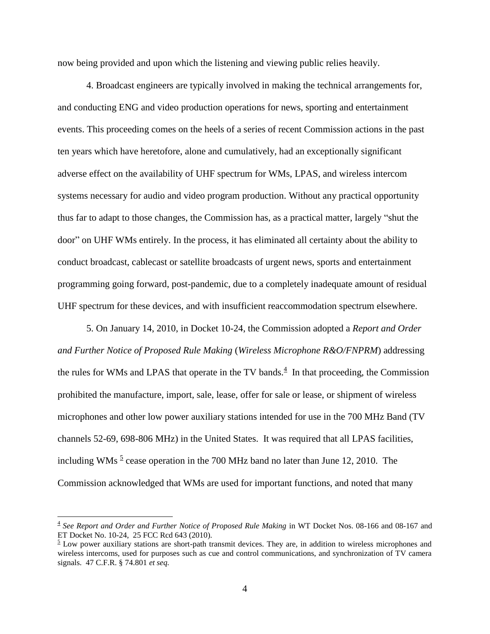now being provided and upon which the listening and viewing public relies heavily.

4. Broadcast engineers are typically involved in making the technical arrangements for, and conducting ENG and video production operations for news, sporting and entertainment events. This proceeding comes on the heels of a series of recent Commission actions in the past ten years which have heretofore, alone and cumulatively, had an exceptionally significant adverse effect on the availability of UHF spectrum for WMs, LPAS, and wireless intercom systems necessary for audio and video program production. Without any practical opportunity thus far to adapt to those changes, the Commission has, as a practical matter, largely "shut the door" on UHF WMs entirely. In the process, it has eliminated all certainty about the ability to conduct broadcast, cablecast or satellite broadcasts of urgent news, sports and entertainment programming going forward, post-pandemic, due to a completely inadequate amount of residual UHF spectrum for these devices, and with insufficient reaccommodation spectrum elsewhere.

5. On January 14, 2010, in Docket 10-24, the Commission adopted a *Report and Order and Further Notice of Proposed Rule Making* (*Wireless Microphone R&O/FNPRM*) addressing the rules for WMs and LPAS that operate in the TV bands. $<sup>4</sup>$  In that proceeding, the Commission</sup> prohibited the manufacture, import, sale, lease, offer for sale or lease, or shipment of wireless microphones and other low power auxiliary stations intended for use in the 700 MHz Band (TV channels 52-69, 698-806 MHz) in the United States. It was required that all LPAS facilities, including WMs<sup>5</sup> cease operation in the 700 MHz band no later than June 12, 2010. The Commission acknowledged that WMs are used for important functions, and noted that many

<sup>4</sup> *See Report and Order and Further Notice of Proposed Rule Making* in WT Docket Nos. 08-166 and 08-167 and ET Docket No. 10-24, 25 FCC Rcd 643 (2010).

 $\frac{5}{2}$  Low power auxiliary stations are short-path transmit devices. They are, in addition to wireless microphones and wireless intercoms, used for purposes such as cue and control communications, and synchronization of TV camera signals. 47 C.F.R. § 74.801 *et seq.*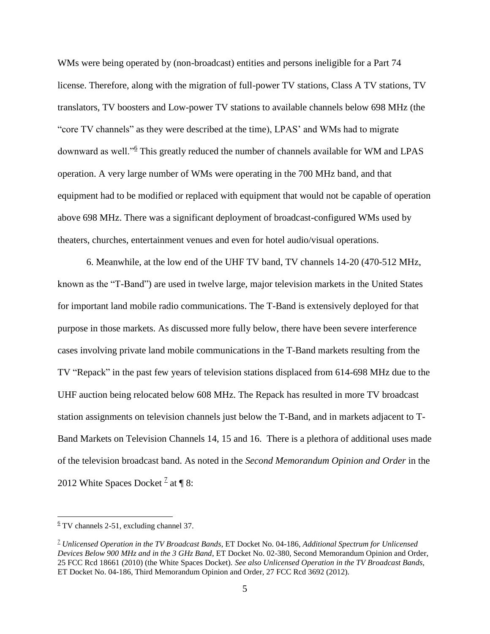WMs were being operated by (non-broadcast) entities and persons ineligible for a Part 74 license. Therefore, along with the migration of full-power TV stations, Class A TV stations, TV translators, TV boosters and Low-power TV stations to available channels below 698 MHz (the "core TV channels" as they were described at the time), LPAS' and WMs had to migrate downward as well."<sup>6</sup> This greatly reduced the number of channels available for WM and LPAS operation. A very large number of WMs were operating in the 700 MHz band, and that equipment had to be modified or replaced with equipment that would not be capable of operation above 698 MHz. There was a significant deployment of broadcast-configured WMs used by theaters, churches, entertainment venues and even for hotel audio/visual operations.

6. Meanwhile, at the low end of the UHF TV band, TV channels 14-20 (470-512 MHz, known as the "T-Band") are used in twelve large, major television markets in the United States for important land mobile radio communications. The T-Band is extensively deployed for that purpose in those markets. As discussed more fully below, there have been severe interference cases involving private land mobile communications in the T-Band markets resulting from the TV "Repack" in the past few years of television stations displaced from 614-698 MHz due to the UHF auction being relocated below 608 MHz. The Repack has resulted in more TV broadcast station assignments on television channels just below the T-Band, and in markets adjacent to T-Band Markets on Television Channels 14, 15 and 16. There is a plethora of additional uses made of the television broadcast band. As noted in the *Second Memorandum Opinion and Order* in the 2012 White Spaces Docket <sup>2</sup> at  $\P$  8:

 $6$  TV channels 2-51, excluding channel 37.

<sup>7</sup> *Unlicensed Operation in the TV Broadcast Bands*, ET Docket No. 04-186, *Additional Spectrum for Unlicensed Devices Below 900 MHz and in the 3 GHz Band*, ET Docket No. 02-380, Second Memorandum Opinion and Order, 25 FCC Rcd 18661 (2010) (the White Spaces Docket). *See also Unlicensed Operation in the TV Broadcast Bands*, ET Docket No. 04-186, Third Memorandum Opinion and Order, 27 FCC Rcd 3692 (2012).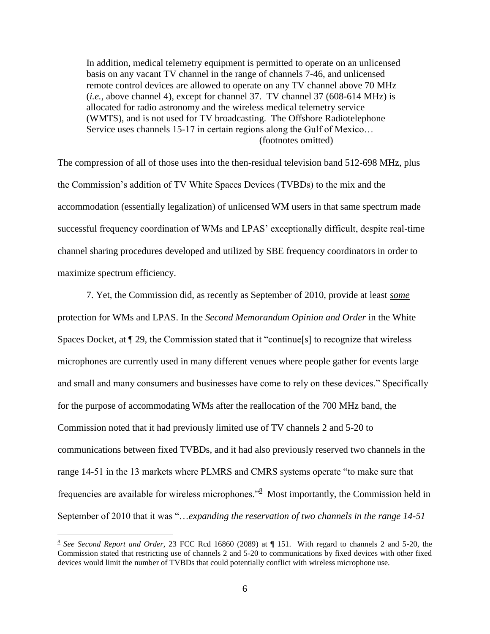In addition, medical telemetry equipment is permitted to operate on an unlicensed basis on any vacant TV channel in the range of channels 7-46, and unlicensed remote control devices are allowed to operate on any TV channel above 70 MHz (*i.e.*, above channel 4), except for channel 37. TV channel 37 (608-614 MHz) is allocated for radio astronomy and the wireless medical telemetry service (WMTS), and is not used for TV broadcasting. The Offshore Radiotelephone Service uses channels 15-17 in certain regions along the Gulf of Mexico… (footnotes omitted)

The compression of all of those uses into the then-residual television band 512-698 MHz, plus the Commission's addition of TV White Spaces Devices (TVBDs) to the mix and the accommodation (essentially legalization) of unlicensed WM users in that same spectrum made successful frequency coordination of WMs and LPAS' exceptionally difficult, despite real-time channel sharing procedures developed and utilized by SBE frequency coordinators in order to maximize spectrum efficiency.

7. Yet, the Commission did, as recently as September of 2010, provide at least *some* protection for WMs and LPAS. In the *Second Memorandum Opinion and Order* in the White Spaces Docket, at ¶ 29, the Commission stated that it "continue[s] to recognize that wireless microphones are currently used in many different venues where people gather for events large and small and many consumers and businesses have come to rely on these devices." Specifically for the purpose of accommodating WMs after the reallocation of the 700 MHz band, the Commission noted that it had previously limited use of TV channels 2 and 5-20 to communications between fixed TVBDs, and it had also previously reserved two channels in the range 14-51 in the 13 markets where PLMRS and CMRS systems operate "to make sure that frequencies are available for wireless microphones.<sup>38</sup> Most importantly, the Commission held in September of 2010 that it was "…*expanding the reservation of two channels in the range 14-51* 

<sup>8</sup> *See Second Report and Order*, 23 FCC Rcd 16860 (2089) at ¶ 151. With regard to channels 2 and 5-20, the Commission stated that restricting use of channels 2 and 5-20 to communications by fixed devices with other fixed devices would limit the number of TVBDs that could potentially conflict with wireless microphone use.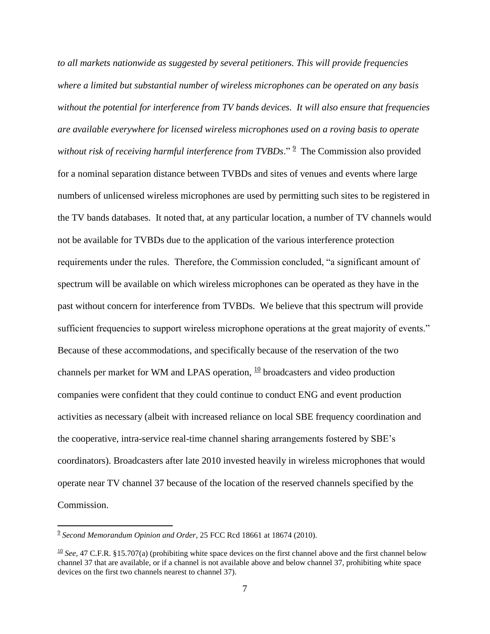*to all markets nationwide as suggested by several petitioners. This will provide frequencies where a limited but substantial number of wireless microphones can be operated on any basis without the potential for interference from TV bands devices. It will also ensure that frequencies are available everywhere for licensed wireless microphones used on a roving basis to operate*  without risk of receiving harmful interference from TVBDs." <sup>2</sup> The Commission also provided for a nominal separation distance between TVBDs and sites of venues and events where large numbers of unlicensed wireless microphones are used by permitting such sites to be registered in the TV bands databases. It noted that, at any particular location, a number of TV channels would not be available for TVBDs due to the application of the various interference protection requirements under the rules. Therefore, the Commission concluded, "a significant amount of spectrum will be available on which wireless microphones can be operated as they have in the past without concern for interference from TVBDs. We believe that this spectrum will provide sufficient frequencies to support wireless microphone operations at the great majority of events." Because of these accommodations, and specifically because of the reservation of the two channels per market for WM and LPAS operation,  $\frac{10}{10}$  broadcasters and video production companies were confident that they could continue to conduct ENG and event production activities as necessary (albeit with increased reliance on local SBE frequency coordination and the cooperative, intra-service real-time channel sharing arrangements fostered by SBE's coordinators). Broadcasters after late 2010 invested heavily in wireless microphones that would operate near TV channel 37 because of the location of the reserved channels specified by the Commission.

<sup>9</sup> *Second Memorandum Opinion and Order*, 25 FCC Rcd 18661 at 18674 (2010).

 $\frac{10}{10}$  *See*, 47 C.F.R. §15.707(a) (prohibiting white space devices on the first channel above and the first channel below channel 37 that are available, or if a channel is not available above and below channel 37, prohibiting white space devices on the first two channels nearest to channel 37).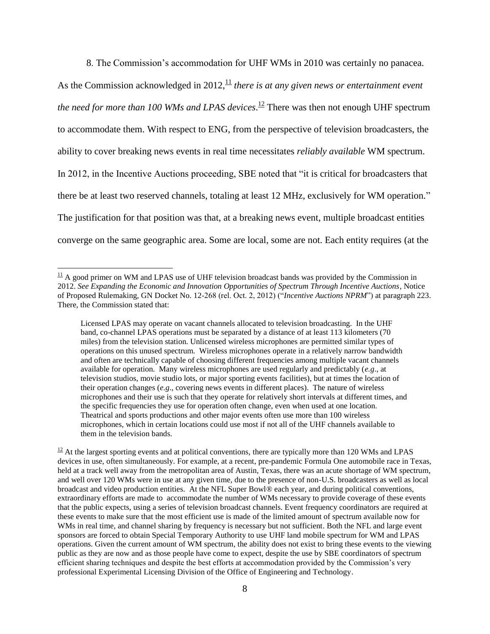8. The Commission's accommodation for UHF WMs in 2010 was certainly no panacea.

As the Commission acknowledged in 2012,<sup>11</sup> *there is at any given news or entertainment event the need for more than 100 WMs and LPAS devices*. <sup>12</sup> There was then not enough UHF spectrum to accommodate them. With respect to ENG, from the perspective of television broadcasters, the ability to cover breaking news events in real time necessitates *reliably available* WM spectrum. In 2012, in the Incentive Auctions proceeding, SBE noted that "it is critical for broadcasters that there be at least two reserved channels, totaling at least 12 MHz, exclusively for WM operation." The justification for that position was that, at a breaking news event, multiple broadcast entities converge on the same geographic area. Some are local, some are not. Each entity requires (at the

 $\overline{a}$ 

 $12$  At the largest sporting events and at political conventions, there are typically more than 120 WMs and LPAS devices in use, often simultaneously. For example, at a recent, pre-pandemic Formula One automobile race in Texas, held at a track well away from the metropolitan area of Austin, Texas, there was an acute shortage of WM spectrum, and well over 120 WMs were in use at any given time, due to the presence of non-U.S. broadcasters as well as local broadcast and video production entities. At the NFL Super Bowl® each year, and during political conventions, extraordinary efforts are made to accommodate the number of WMs necessary to provide coverage of these events that the public expects, using a series of television broadcast channels. Event frequency coordinators are required at these events to make sure that the most efficient use is made of the limited amount of spectrum available now for WMs in real time, and channel sharing by frequency is necessary but not sufficient. Both the NFL and large event sponsors are forced to obtain Special Temporary Authority to use UHF land mobile spectrum for WM and LPAS operations. Given the current amount of WM spectrum, the ability does not exist to bring these events to the viewing public as they are now and as those people have come to expect, despite the use by SBE coordinators of spectrum efficient sharing techniques and despite the best efforts at accommodation provided by the Commission's very professional Experimental Licensing Division of the Office of Engineering and Technology.

 $11$  A good primer on WM and LPAS use of UHF television broadcast bands was provided by the Commission in 2012. *See Expanding the Economic and Innovation Opportunities of Spectrum Through Incentive Auctions*, Notice of Proposed Rulemaking, GN Docket No. 12-268 (rel. Oct. 2, 2012) ("*Incentive Auctions NPRM*") at paragraph 223. There, the Commission stated that:

Licensed LPAS may operate on vacant channels allocated to television broadcasting. In the UHF band, co-channel LPAS operations must be separated by a distance of at least 113 kilometers (70 miles) from the television station. Unlicensed wireless microphones are permitted similar types of operations on this unused spectrum. Wireless microphones operate in a relatively narrow bandwidth and often are technically capable of choosing different frequencies among multiple vacant channels available for operation. Many wireless microphones are used regularly and predictably (*e.g*., at television studios, movie studio lots, or major sporting events facilities), but at times the location of their operation changes (*e.g*., covering news events in different places). The nature of wireless microphones and their use is such that they operate for relatively short intervals at different times, and the specific frequencies they use for operation often change, even when used at one location. Theatrical and sports productions and other major events often use more than 100 wireless microphones, which in certain locations could use most if not all of the UHF channels available to them in the television bands.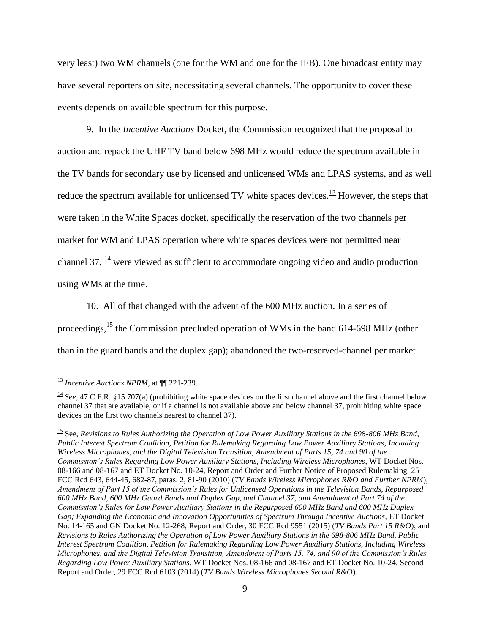very least) two WM channels (one for the WM and one for the IFB). One broadcast entity may have several reporters on site, necessitating several channels. The opportunity to cover these events depends on available spectrum for this purpose.

9. In the *Incentive Auctions* Docket*,* the Commission recognized that the proposal to auction and repack the UHF TV band below 698 MHz would reduce the spectrum available in the TV bands for secondary use by licensed and unlicensed WMs and LPAS systems, and as well reduce the spectrum available for unlicensed TV white spaces devices.<sup>13</sup> However, the steps that were taken in the White Spaces docket, specifically the reservation of the two channels per market for WM and LPAS operation where white spaces devices were not permitted near channel 37,  $\frac{14}{1}$  were viewed as sufficient to accommodate ongoing video and audio production using WMs at the time.

10. All of that changed with the advent of the 600 MHz auction. In a series of proceedings,  $\frac{15}{12}$  the Commission precluded operation of WMs in the band 614-698 MHz (other than in the guard bands and the duplex gap); abandoned the two-reserved-channel per market

<sup>13</sup> *Incentive Auctions NPRM*, at ¶¶ 221-239.

 $\frac{14}{16}$  *See*, 47 C.F.R. §15.707(a) (prohibiting white space devices on the first channel above and the first channel below channel 37 that are available, or if a channel is not available above and below channel 37, prohibiting white space devices on the first two channels nearest to channel 37).

<sup>15</sup> See, *Revisions to Rules Authorizing the Operation of Low Power Auxiliary Stations in the 698-806 MHz Band*, *Public Interest Spectrum Coalition, Petition for Rulemaking Regarding Low Power Auxiliary Stations*, *Including Wireless Microphones, and the Digital Television Transition, Amendment of Parts 15, 74 and 90 of the Commission's Rules Regarding Low Power Auxiliary Stations, Including Wireless Microphones*, WT Docket Nos. 08-166 and 08-167 and ET Docket No. 10-24, Report and Order and Further Notice of Proposed Rulemaking, 25 FCC Rcd 643, 644-45, 682-87, paras. 2, 81-90 (2010) (*TV Bands Wireless Microphones R&O and Further NPRM*); *Amendment of Part 15 of the Commission's Rules for Unlicensed Operations in the Television Bands, Repurposed 600 MHz Band, 600 MHz Guard Bands and Duplex Gap, and Channel 37, and Amendment of Part 74 of the Commission's Rules for Low Power Auxiliary Stations in the Repurposed 600 MHz Band and 600 MHz Duplex Gap; Expanding the Economic and Innovation Opportunities of Spectrum Through Incentive Auctions*, ET Docket No. 14-165 and GN Docket No. 12-268, Report and Order, 30 FCC Rcd 9551 (2015) (*TV Bands Part 15 R&O*); and *Revisions to Rules Authorizing the Operation of Low Power Auxiliary Stations in the 698-806 MHz Band, Public Interest Spectrum Coalition, Petition for Rulemaking Regarding Low Power Auxiliary Stations, Including Wireless Microphones, and the Digital Television Transition, Amendment of Parts 15, 74, and 90 of the Commission's Rules Regarding Low Power Auxiliary Stations*, WT Docket Nos. 08-166 and 08-167 and ET Docket No. 10-24, Second Report and Order, 29 FCC Rcd 6103 (2014) (*TV Bands Wireless Microphones Second R&O*).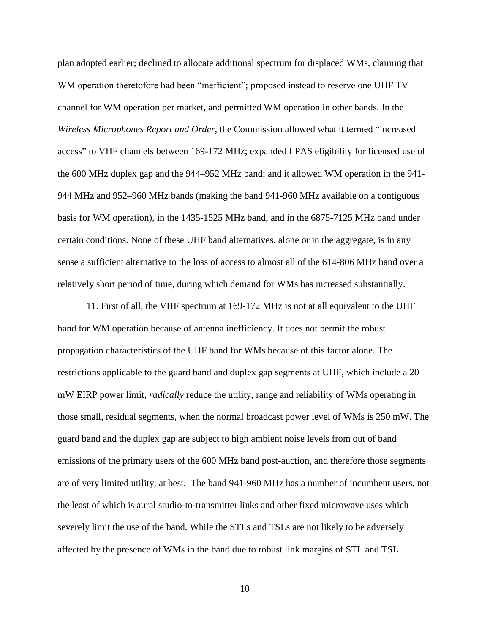plan adopted earlier; declined to allocate additional spectrum for displaced WMs, claiming that WM operation theretofore had been "inefficient"; proposed instead to reserve one UHF TV channel for WM operation per market, and permitted WM operation in other bands. In the *Wireless Microphones Report and Order*, the Commission allowed what it termed "increased access" to VHF channels between 169-172 MHz; expanded LPAS eligibility for licensed use of the 600 MHz duplex gap and the 944–952 MHz band; and it allowed WM operation in the 941- 944 MHz and 952–960 MHz bands (making the band 941-960 MHz available on a contiguous basis for WM operation), in the 1435-1525 MHz band, and in the 6875-7125 MHz band under certain conditions. None of these UHF band alternatives, alone or in the aggregate, is in any sense a sufficient alternative to the loss of access to almost all of the 614-806 MHz band over a relatively short period of time, during which demand for WMs has increased substantially.

11. First of all, the VHF spectrum at 169-172 MHz is not at all equivalent to the UHF band for WM operation because of antenna inefficiency. It does not permit the robust propagation characteristics of the UHF band for WMs because of this factor alone. The restrictions applicable to the guard band and duplex gap segments at UHF, which include a 20 mW EIRP power limit, *radically* reduce the utility, range and reliability of WMs operating in those small, residual segments, when the normal broadcast power level of WMs is 250 mW. The guard band and the duplex gap are subject to high ambient noise levels from out of band emissions of the primary users of the 600 MHz band post-auction, and therefore those segments are of very limited utility, at best. The band 941-960 MHz has a number of incumbent users, not the least of which is aural studio-to-transmitter links and other fixed microwave uses which severely limit the use of the band. While the STLs and TSLs are not likely to be adversely affected by the presence of WMs in the band due to robust link margins of STL and TSL

10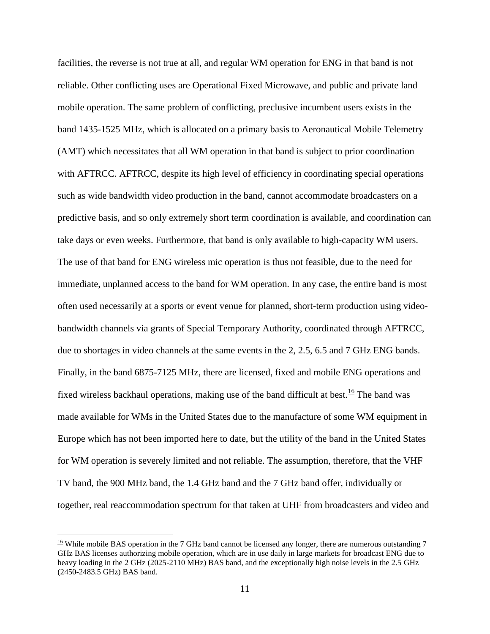facilities, the reverse is not true at all, and regular WM operation for ENG in that band is not reliable. Other conflicting uses are Operational Fixed Microwave, and public and private land mobile operation. The same problem of conflicting, preclusive incumbent users exists in the band 1435-1525 MHz, which is allocated on a primary basis to Aeronautical Mobile Telemetry (AMT) which necessitates that all WM operation in that band is subject to prior coordination with AFTRCC. AFTRCC, despite its high level of efficiency in coordinating special operations such as wide bandwidth video production in the band, cannot accommodate broadcasters on a predictive basis, and so only extremely short term coordination is available, and coordination can take days or even weeks. Furthermore, that band is only available to high-capacity WM users. The use of that band for ENG wireless mic operation is thus not feasible, due to the need for immediate, unplanned access to the band for WM operation. In any case, the entire band is most often used necessarily at a sports or event venue for planned, short-term production using videobandwidth channels via grants of Special Temporary Authority, coordinated through AFTRCC, due to shortages in video channels at the same events in the 2, 2.5, 6.5 and 7 GHz ENG bands. Finally, in the band 6875-7125 MHz, there are licensed, fixed and mobile ENG operations and fixed wireless backhaul operations, making use of the band difficult at best.<sup>16</sup> The band was made available for WMs in the United States due to the manufacture of some WM equipment in Europe which has not been imported here to date, but the utility of the band in the United States for WM operation is severely limited and not reliable. The assumption, therefore, that the VHF TV band, the 900 MHz band, the 1.4 GHz band and the 7 GHz band offer, individually or together, real reaccommodation spectrum for that taken at UHF from broadcasters and video and

<sup>&</sup>lt;sup>16</sup> While mobile BAS operation in the 7 GHz band cannot be licensed any longer, there are numerous outstanding 7 GHz BAS licenses authorizing mobile operation, which are in use daily in large markets for broadcast ENG due to heavy loading in the 2 GHz (2025-2110 MHz) BAS band, and the exceptionally high noise levels in the 2.5 GHz (2450-2483.5 GHz) BAS band.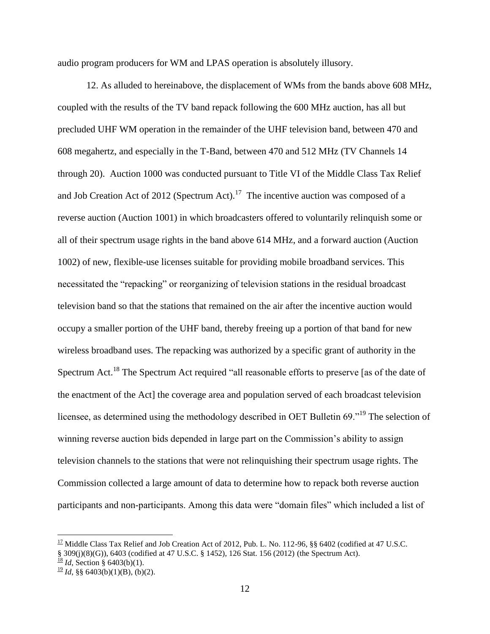audio program producers for WM and LPAS operation is absolutely illusory.

12. As alluded to hereinabove, the displacement of WMs from the bands above 608 MHz, coupled with the results of the TV band repack following the 600 MHz auction, has all but precluded UHF WM operation in the remainder of the UHF television band, between 470 and 608 megahertz, and especially in the T-Band, between 470 and 512 MHz (TV Channels 14 through 20). Auction 1000 was conducted pursuant to Title VI of the Middle Class Tax Relief and Job Creation Act of 2012 (Spectrum Act).<sup>17</sup> The incentive auction was composed of a reverse auction (Auction 1001) in which broadcasters offered to voluntarily relinquish some or all of their spectrum usage rights in the band above 614 MHz, and a forward auction (Auction 1002) of new, flexible-use licenses suitable for providing mobile broadband services. This necessitated the "repacking" or reorganizing of television stations in the residual broadcast television band so that the stations that remained on the air after the incentive auction would occupy a smaller portion of the UHF band, thereby freeing up a portion of that band for new wireless broadband uses. The repacking was authorized by a specific grant of authority in the Spectrum Act.<sup>18</sup> The Spectrum Act required "all reasonable efforts to preserve [as of the date of the enactment of the Act] the coverage area and population served of each broadcast television licensee, as determined using the methodology described in OET Bulletin 69."<sup>19</sup> The selection of winning reverse auction bids depended in large part on the Commission's ability to assign television channels to the stations that were not relinquishing their spectrum usage rights. The Commission collected a large amount of data to determine how to repack both reverse auction participants and non-participants. Among this data were "domain files" which included a list of

<sup>&</sup>lt;sup>17</sup> Middle Class Tax Relief and Job Creation Act of 2012, Pub. L. No. 112-96, §§ 6402 (codified at 47 U.S.C. § 309(j)(8)(G)), 6403 (codified at 47 U.S.C. § 1452), 126 Stat. 156 (2012) (the Spectrum Act).

 $\frac{18}{16}$  *Id*, Section § 6403(b)(1).

 $\frac{19}{2}$ *Id*, §§ 6403(b)(1)(B), (b)(2).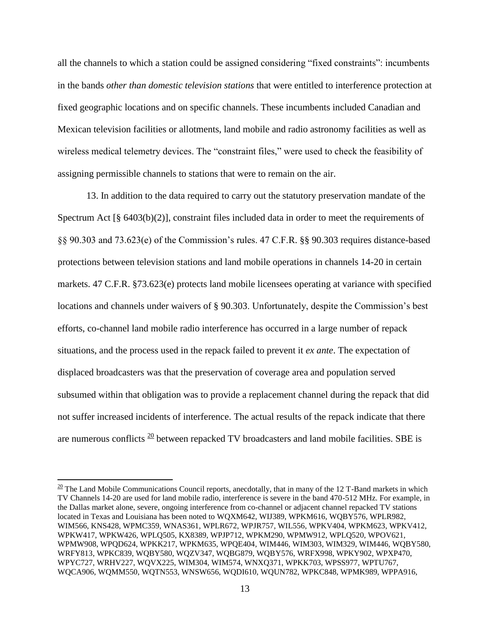all the channels to which a station could be assigned considering "fixed constraints": incumbents in the bands *other than domestic television stations* that were entitled to interference protection at fixed geographic locations and on specific channels. These incumbents included Canadian and Mexican television facilities or allotments, land mobile and radio astronomy facilities as well as wireless medical telemetry devices. The "constraint files," were used to check the feasibility of assigning permissible channels to stations that were to remain on the air.

13. In addition to the data required to carry out the statutory preservation mandate of the Spectrum Act [§ 6403(b)(2)], constraint files included data in order to meet the requirements of §§ 90.303 and 73.623(e) of the Commission's rules. 47 C.F.R. §§ 90.303 requires distance-based protections between television stations and land mobile operations in channels 14-20 in certain markets. 47 C.F.R. §73.623(e) protects land mobile licensees operating at variance with specified locations and channels under waivers of § 90.303. Unfortunately, despite the Commission's best efforts, co-channel land mobile radio interference has occurred in a large number of repack situations, and the process used in the repack failed to prevent it *ex ante*. The expectation of displaced broadcasters was that the preservation of coverage area and population served subsumed within that obligation was to provide a replacement channel during the repack that did not suffer increased incidents of interference. The actual results of the repack indicate that there are numerous conflicts  $\frac{20}{20}$  between repacked TV broadcasters and land mobile facilities. SBE is

 $\frac{20}{20}$  The Land Mobile Communications Council reports, anecdotally, that in many of the 12 T-Band markets in which TV Channels 14-20 are used for land mobile radio, interference is severe in the band 470-512 MHz. For example, in the Dallas market alone, severe, ongoing interference from co-channel or adjacent channel repacked TV stations located in Texas and Louisiana has been noted to WQXM642, WIJ389, WPKM616, WQBY576, WPLR982, WIM566, KNS428, WPMC359, WNAS361, WPLR672, WPJR757, WIL556, WPKV404, WPKM623, WPKV412, WPKW417, WPKW426, WPLQ505, KX8389, WPJP712, WPKM290, WPMW912, WPLQ520, WPOV621, WPMW908, WPQD624, WPKK217, WPKM635, WPQE404, WIM446, WIM303, WIM329, WIM446, WQBY580, WRFY813, WPKC839, WQBY580, WQZV347, WQBG879, WQBY576, WRFX998, WPKY902, WPXP470, WPYC727, WRHV227, WQVX225, WIM304, WIM574, WNXQ371, WPKK703, WPSS977, WPTU767, WQCA906, WQMM550, WQTN553, WNSW656, WQDI610, WQUN782, WPKC848, WPMK989, WPPA916,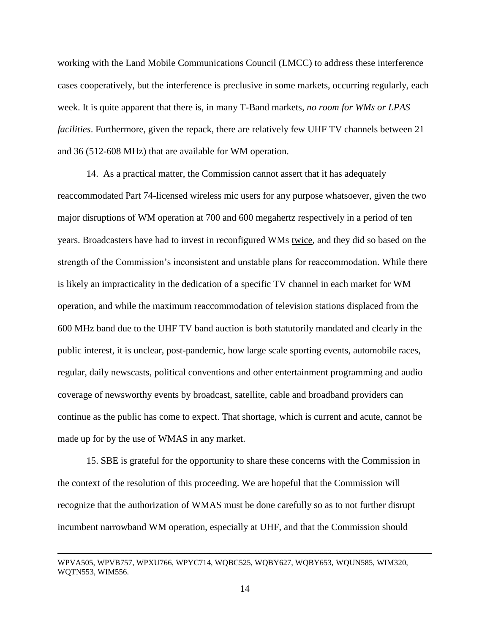working with the Land Mobile Communications Council (LMCC) to address these interference cases cooperatively, but the interference is preclusive in some markets, occurring regularly, each week. It is quite apparent that there is, in many T-Band markets*, no room for WMs or LPAS facilities*. Furthermore, given the repack, there are relatively few UHF TV channels between 21 and 36 (512-608 MHz) that are available for WM operation.

14. As a practical matter, the Commission cannot assert that it has adequately reaccommodated Part 74-licensed wireless mic users for any purpose whatsoever, given the two major disruptions of WM operation at 700 and 600 megahertz respectively in a period of ten years. Broadcasters have had to invest in reconfigured WMs twice, and they did so based on the strength of the Commission's inconsistent and unstable plans for reaccommodation. While there is likely an impracticality in the dedication of a specific TV channel in each market for WM operation, and while the maximum reaccommodation of television stations displaced from the 600 MHz band due to the UHF TV band auction is both statutorily mandated and clearly in the public interest, it is unclear, post-pandemic, how large scale sporting events, automobile races, regular, daily newscasts, political conventions and other entertainment programming and audio coverage of newsworthy events by broadcast, satellite, cable and broadband providers can continue as the public has come to expect. That shortage, which is current and acute, cannot be made up for by the use of WMAS in any market.

15. SBE is grateful for the opportunity to share these concerns with the Commission in the context of the resolution of this proceeding. We are hopeful that the Commission will recognize that the authorization of WMAS must be done carefully so as to not further disrupt incumbent narrowband WM operation, especially at UHF, and that the Commission should

WPVA505, WPVB757, WPXU766, WPYC714, WQBC525, WQBY627, WQBY653, WQUN585, WIM320, WQTN553, WIM556.